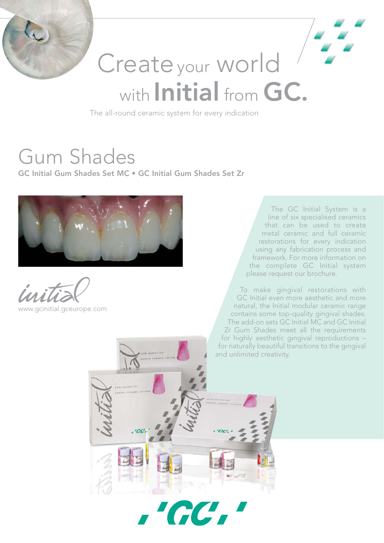

# Create your world with Initial from GC.

The all-round ceramic system for every indication

**AC** 

## Gum Shades

GC Initial Gum Shades Set MC • GC Initial Gum Shades Set Zr



www.gcinitial.gceurope.com

The GC Initial System is a line of six specialised ceramics that can be used to create metal ceramic and full ceramic restorations for every indication using any fabrication process and framework. For more information on the complete GC Initial system please request our brochure.

To make gingival restorations with GC Initial even more aesthetic and more natural, the Initial modular ceramic range contains some top-quality gingival shades. The add-on sets GC Initial MC and GC Initial Zr Gum Shades meet all the requirements for highly aesthetic gingival reproductions – for naturally beautiful transitions to the gingival and unlimited creativity.